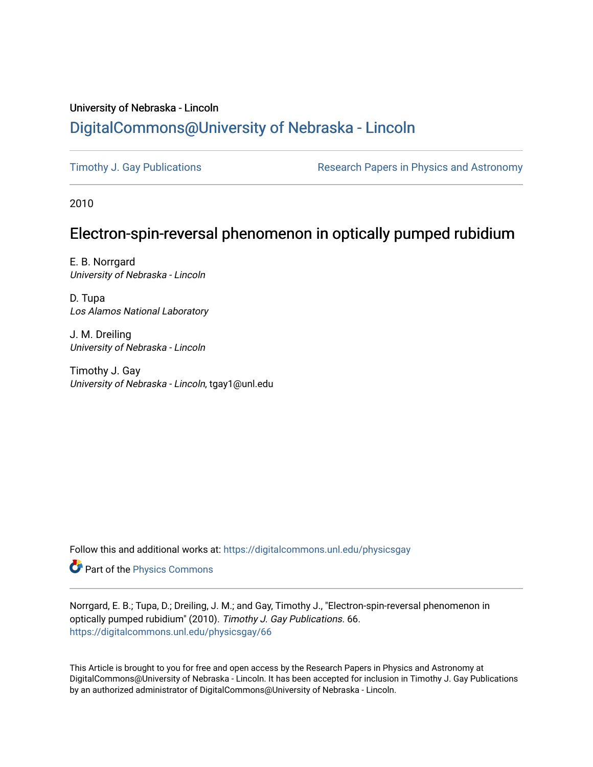## University of Nebraska - Lincoln [DigitalCommons@University of Nebraska - Lincoln](https://digitalcommons.unl.edu/)

[Timothy J. Gay Publications](https://digitalcommons.unl.edu/physicsgay) **Research Papers in Physics and Astronomy** 

2010

# Electron-spin-reversal phenomenon in optically pumped rubidium

E. B. Norrgard University of Nebraska - Lincoln

D. Tupa Los Alamos National Laboratory

J. M. Dreiling University of Nebraska - Lincoln

Timothy J. Gay University of Nebraska - Lincoln, tgay1@unl.edu

Follow this and additional works at: [https://digitalcommons.unl.edu/physicsgay](https://digitalcommons.unl.edu/physicsgay?utm_source=digitalcommons.unl.edu%2Fphysicsgay%2F66&utm_medium=PDF&utm_campaign=PDFCoverPages)

Part of the [Physics Commons](http://network.bepress.com/hgg/discipline/193?utm_source=digitalcommons.unl.edu%2Fphysicsgay%2F66&utm_medium=PDF&utm_campaign=PDFCoverPages)

Norrgard, E. B.; Tupa, D.; Dreiling, J. M.; and Gay, Timothy J., "Electron-spin-reversal phenomenon in optically pumped rubidium" (2010). Timothy J. Gay Publications. 66. [https://digitalcommons.unl.edu/physicsgay/66](https://digitalcommons.unl.edu/physicsgay/66?utm_source=digitalcommons.unl.edu%2Fphysicsgay%2F66&utm_medium=PDF&utm_campaign=PDFCoverPages) 

This Article is brought to you for free and open access by the Research Papers in Physics and Astronomy at DigitalCommons@University of Nebraska - Lincoln. It has been accepted for inclusion in Timothy J. Gay Publications by an authorized administrator of DigitalCommons@University of Nebraska - Lincoln.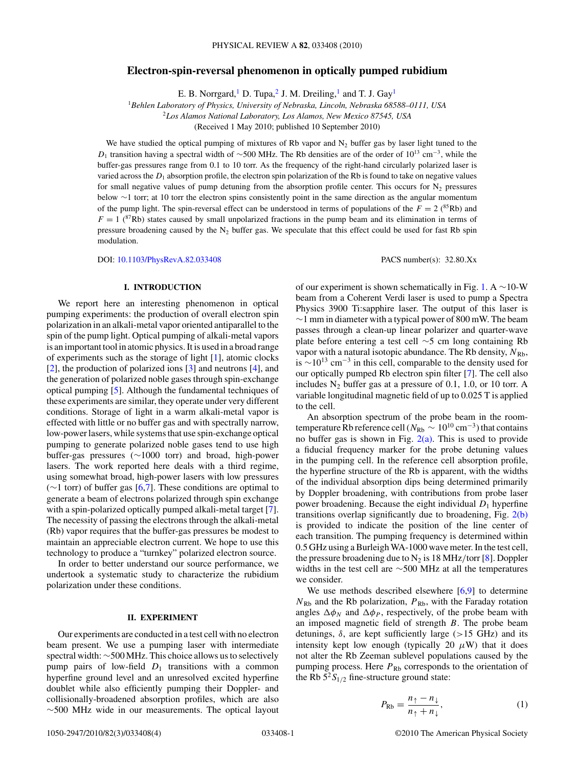## **Electron-spin-reversal phenomenon in optically pumped rubidium**

E. B. Norrgard,<sup>1</sup> D. Tupa,<sup>2</sup> J. M. Dreiling,<sup>1</sup> and T. J. Gay<sup>1</sup>

<sup>1</sup>*Behlen Laboratory of Physics, University of Nebraska, Lincoln, Nebraska 68588–0111, USA*

<sup>2</sup>*Los Alamos National Laboratory, Los Alamos, New Mexico 87545, USA*

(Received 1 May 2010; published 10 September 2010)

We have studied the optical pumping of mixtures of Rb vapor and  $N_2$  buffer gas by laser light tuned to the *D*<sub>1</sub> transition having a spectral width of ~500 MHz. The Rb densities are of the order of 10<sup>13</sup> cm<sup>-3</sup>, while the buffer-gas pressures range from 0.1 to 10 torr. As the frequency of the right-hand circularly polarized laser is varied across the  $D_1$  absorption profile, the electron spin polarization of the Rb is found to take on negative values for small negative values of pump detuning from the absorption profile center. This occurs for  $N_2$  pressures below ∼1 torr; at 10 torr the electron spins consistently point in the same direction as the angular momentum of the pump light. The spin-reversal effect can be understood in terms of populations of the  $F = 2$  (<sup>85</sup>Rb) and  $F = 1$  ( $87Rb$ ) states caused by small unpolarized fractions in the pump beam and its elimination in terms of pressure broadening caused by the  $N_2$  buffer gas. We speculate that this effect could be used for fast Rb spin modulation.

DOI: [10.1103/PhysRevA.82.033408](http://dx.doi.org/10.1103/PhysRevA.82.033408) PACS number(s): 32*.*80*.*Xx

## **I. INTRODUCTION**

We report here an interesting phenomenon in optical pumping experiments: the production of overall electron spin polarization in an alkali-metal vapor oriented antiparallel to the spin of the pump light. Optical pumping of alkali-metal vapors is an important tool in atomic physics. It is used in a broad range of experiments such as the storage of light [\[1\]](#page-4-0), atomic clocks [\[2\]](#page-4-0), the production of polarized ions [\[3\]](#page-4-0) and neutrons [\[4\]](#page-4-0), and the generation of polarized noble gases through spin-exchange optical pumping [\[5\]](#page-4-0). Although the fundamental techniques of these experiments are similar, they operate under very different conditions. Storage of light in a warm alkali-metal vapor is effected with little or no buffer gas and with spectrally narrow, low-power lasers, while systems that use spin-exchange optical pumping to generate polarized noble gases tend to use high buffer-gas pressures (∼1000 torr) and broad, high-power lasers. The work reported here deals with a third regime, using somewhat broad, high-power lasers with low pressures  $(\sim)$  torr) of buffer gas [\[6,7\]](#page-4-0). These conditions are optimal to generate a beam of electrons polarized through spin exchange with a spin-polarized optically pumped alkali-metal target [\[7\]](#page-4-0). The necessity of passing the electrons through the alkali-metal (Rb) vapor requires that the buffer-gas pressures be modest to maintain an appreciable electron current. We hope to use this technology to produce a "turnkey" polarized electron source.

In order to better understand our source performance, we undertook a systematic study to characterize the rubidium polarization under these conditions.

### **II. EXPERIMENT**

Our experiments are conducted in a test cell with no electron beam present. We use a pumping laser with intermediate spectral width: ∼500 MHz. This choice allows us to selectively pump pairs of low-field  $D_1$  transitions with a common hyperfine ground level and an unresolved excited hyperfine doublet while also efficiently pumping their Doppler- and collisionally-broadened absorption profiles, which are also ∼500 MHz wide in our measurements. The optical layout

of our experiment is shown schematically in Fig. [1.](#page-2-0) A ∼10-W beam from a Coherent Verdi laser is used to pump a Spectra Physics 3900 Ti:sapphire laser. The output of this laser is  $\sim$ 1 mm in diameter with a typical power of 800 mW. The beam passes through a clean-up linear polarizer and quarter-wave plate before entering a test cell ∼5 cm long containing Rb vapor with a natural isotopic abundance. The Rb density,  $N_{\text{Rb}}$ , is  $\sim$ 10<sup>13</sup> cm<sup>-3</sup> in this cell, comparable to the density used for our optically pumped Rb electron spin filter [\[7\]](#page-4-0). The cell also includes  $N_2$  buffer gas at a pressure of 0.1, 1.0, or 10 torr. A variable longitudinal magnetic field of up to 0.025 T is applied to the cell.

An absorption spectrum of the probe beam in the roomtemperature Rb reference cell ( $N_{\text{Rb}} \sim 10^{10} \text{ cm}^{-3}$ ) that contains no buffer gas is shown in Fig.  $2(a)$ . This is used to provide a fiducial frequency marker for the probe detuning values in the pumping cell. In the reference cell absorption profile, the hyperfine structure of the Rb is apparent, with the widths of the individual absorption dips being determined primarily by Doppler broadening, with contributions from probe laser power broadening. Because the eight individual  $D_1$  hyperfine transitions overlap significantly due to broadening, Fig. [2\(b\)](#page-2-0) is provided to indicate the position of the line center of each transition. The pumping frequency is determined within 0.5 GHz using a Burleigh WA-1000 wave meter. In the test cell, the pressure broadening due to  $N_2$  is 18 MHz/torr [\[8\]](#page-4-0). Doppler widths in the test cell are ∼500 MHz at all the temperatures we consider.

We use methods described elsewhere [\[6,9\]](#page-4-0) to determine  $N_{\text{Rb}}$  and the Rb polarization,  $P_{\text{Rb}}$ , with the Faraday rotation angles  $\Delta \phi_N$  and  $\Delta \phi_P$ , respectively, of the probe beam with an imposed magnetic field of strength *B*. The probe beam detunings, *δ*, are kept sufficiently large (*>*15 GHz) and its intensity kept low enough (typically 20  $\mu$ W) that it does not alter the Rb Zeeman sublevel populations caused by the pumping process. Here  $P_{\rm Rb}$  corresponds to the orientation of the Rb  $5^{2}S_{1/2}$  fine-structure ground state:

$$
P_{\text{Rb}} = \frac{n_{\uparrow} - n_{\downarrow}}{n_{\uparrow} + n_{\downarrow}},\tag{1}
$$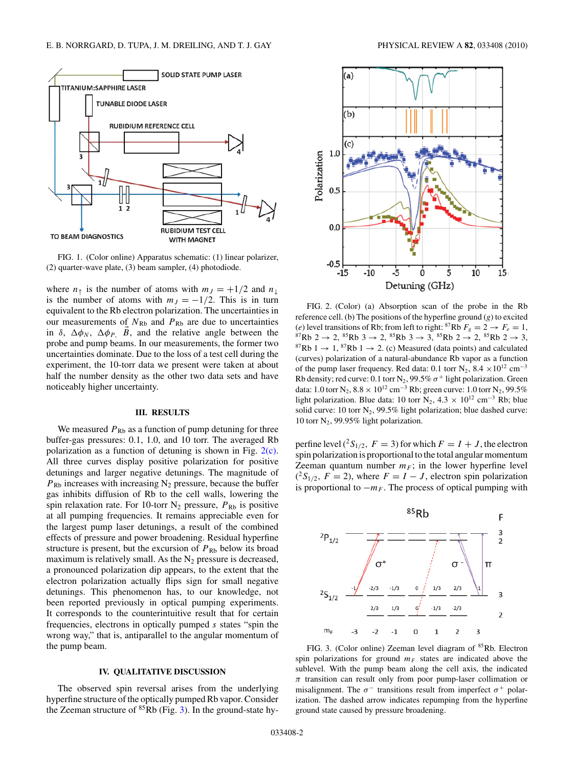<span id="page-2-0"></span>

FIG. 1. (Color online) Apparatus schematic: (1) linear polarizer, (2) quarter-wave plate, (3) beam sampler, (4) photodiode.

where  $n_{\uparrow}$  is the number of atoms with  $m_J = +1/2$  and  $n_{\downarrow}$ is the number of atoms with  $m<sub>J</sub> = -1/2$ . This is in turn equivalent to the Rb electron polarization. The uncertainties in our measurements of  $N_{\text{Rb}}$  and  $P_{\text{Rb}}$  are due to uncertainties in  $\delta$ ,  $\Delta \phi_N$ ,  $\Delta \phi_P$ , *B*, and the relative angle between the probe and pump beams. In our measurements, the former two uncertainties dominate. Due to the loss of a test cell during the experiment, the 10-torr data we present were taken at about half the number density as the other two data sets and have noticeably higher uncertainty.

#### **III. RESULTS**

We measured  $P_{\text{Rb}}$  as a function of pump detuning for three buffer-gas pressures: 0.1, 1.0, and 10 torr. The averaged Rb polarization as a function of detuning is shown in Fig. 2(c). All three curves display positive polarization for positive detunings and larger negative detunings. The magnitude of  $P_{\rm Rb}$  increases with increasing N<sub>2</sub> pressure, because the buffer gas inhibits diffusion of Rb to the cell walls, lowering the spin relaxation rate. For 10-torr  $N_2$  pressure,  $P_{Rb}$  is positive at all pumping frequencies. It remains appreciable even for the largest pump laser detunings, a result of the combined effects of pressure and power broadening. Residual hyperfine structure is present, but the excursion of  $P_{\rm Rb}$  below its broad maximum is relatively small. As the  $N_2$  pressure is decreased, a pronounced polarization dip appears, to the extent that the electron polarization actually flips sign for small negative detunings. This phenomenon has, to our knowledge, not been reported previously in optical pumping experiments. It corresponds to the counterintuitive result that for certain frequencies, electrons in optically pumped *s* states "spin the wrong way," that is, antiparallel to the angular momentum of the pump beam.

## **IV. QUALITATIVE DISCUSSION**

The observed spin reversal arises from the underlying hyperfine structure of the optically pumped Rb vapor. Consider the Zeeman structure of  ${}^{85}$ Rb (Fig. 3). In the ground-state hy-



FIG. 2. (Color) (a) Absorption scan of the probe in the Rb reference cell. (b) The positions of the hyperfine ground (*g*) to excited (*e*) level transitions of Rb; from left to right: <sup>87</sup>Rb  $F_g = 2 \rightarrow F_e = 1$ , <br><sup>87</sup>Rb 2 → 2, <sup>85</sup>Rb 3 → 2, <sup>85</sup>Rb 3 → 3, <sup>85</sup>Rb 2 → 2, <sup>85</sup>Rb 2 → 3, <sup>87</sup>Rb 1 → 1, <sup>87</sup>Rb 1 → 2. (c) Measured (data points) and calculated (curves) polarization of a natural-abundance Rb vapor as a function of the pump laser frequency. Red data: 0.1 torr N<sub>2</sub>, 8.4 ×10<sup>12</sup> cm<sup>-3</sup> Rb density; red curve: 0.1 torr N<sub>2</sub>, 99.5%  $\sigma$ <sup>+</sup> light polarization. Green data: 1.0 torr N<sub>2</sub>,  $8.8 \times 10^{12}$  cm<sup>-3</sup> Rb; green curve: 1.0 torr N<sub>2</sub>, 99.5% light polarization. Blue data: 10 torr N<sub>2</sub>, 4.3 × 10<sup>12</sup> cm<sup>-3</sup> Rb; blue solid curve: 10 torr  $N_2$ , 99.5% light polarization; blue dashed curve: 10 torr  $N_2$ , 99.95% light polarization.

perfine level  $({}^2S_{1/2}, F = 3)$  for which  $F = I + J$ , the electron spin polarization is proportional to the total angular momentum Zeeman quantum number  $m_F$ ; in the lower hyperfine level  $({}^{2}S_{1/2}, F = 2)$ , where  $F = I - J$ , electron spin polarization is proportional to  $-m_F$ . The process of optical pumping with



FIG. 3. (Color online) Zeeman level diagram of <sup>85</sup>Rb. Electron spin polarizations for ground  $m_F$  states are indicated above the sublevel. With the pump beam along the cell axis, the indicated *π* transition can result only from poor pump-laser collimation or misalignment. The  $\sigma^-$  transitions result from imperfect  $\sigma^+$  polarization. The dashed arrow indicates repumping from the hyperfine ground state caused by pressure broadening.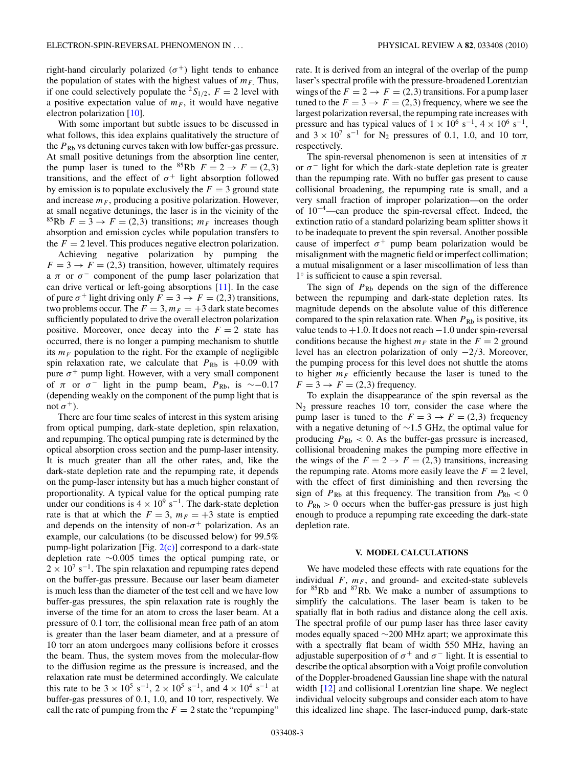right-hand circularly polarized  $(\sigma^+)$  light tends to enhance the population of states with the highest values of  $m_F$ . Thus, if one could selectively populate the <sup>2</sup> $S_{1/2}$ ,  $F = 2$  level with a positive expectation value of  $m_F$ , it would have negative electron polarization [\[10\]](#page-4-0).

With some important but subtle issues to be discussed in what follows, this idea explains qualitatively the structure of the  $P_{\rm Rb}$  vs detuning curves taken with low buffer-gas pressure. At small positive detunings from the absorption line center, the pump laser is tuned to the <sup>85</sup>Rb  $F = 2 \rightarrow F = (2,3)$ transitions, and the effect of  $\sigma^+$  light absorption followed by emission is to populate exclusively the  $F = 3$  ground state and increase  $m_F$ , producing a positive polarization. However, at small negative detunings, the laser is in the vicinity of the <sup>85</sup>Rb  $F = 3 \rightarrow F = (2,3)$  transitions;  $m_F$  increases though absorption and emission cycles while population transfers to the  $F = 2$  level. This produces negative electron polarization. Achieving negative polarization by pumping the

 $F = 3 \rightarrow F = (2,3)$  transition, however, ultimately requires a  $\pi$  or  $\sigma^-$  component of the pump laser polarization that can drive vertical or left-going absorptions [\[11\]](#page-4-0). In the case of pure  $\sigma^+$  light driving only  $F = 3 \rightarrow F = (2,3)$  transitions, two problems occur. The  $F = 3$ ,  $m_F = +3$  dark state becomes sufficiently populated to drive the overall electron polarization positive. Moreover, once decay into the  $F = 2$  state has occurred, there is no longer a pumping mechanism to shuttle its  $m_F$  population to the right. For the example of negligible spin relaxation rate, we calculate that  $P_{\text{Rb}}$  is  $+0.09$  with pure  $\sigma^+$  pump light. However, with a very small component of  $\pi$  or  $\sigma^-$  light in the pump beam,  $P_{Rb}$ , is ~−0.17 (depending weakly on the component of the pump light that is not  $\sigma^+$ ).

There are four time scales of interest in this system arising from optical pumping, dark-state depletion, spin relaxation, and repumping. The optical pumping rate is determined by the optical absorption cross section and the pump-laser intensity. It is much greater than all the other rates, and, like the dark-state depletion rate and the repumping rate, it depends on the pump-laser intensity but has a much higher constant of proportionality. A typical value for the optical pumping rate under our conditions is  $4 \times 10^9$  s<sup>-1</sup>. The dark-state depletion rate is that at which the  $F = 3$ ,  $m_F = +3$  state is emptied and depends on the intensity of non- $\sigma^+$  polarization. As an example, our calculations (to be discussed below) for 99.5% pump-light polarization [Fig.  $2(c)$ ] correspond to a dark-state depletion rate ∼0.005 times the optical pumping rate, or  $2 \times 10^{7}$  s<sup>-1</sup>. The spin relaxation and repumping rates depend on the buffer-gas pressure. Because our laser beam diameter is much less than the diameter of the test cell and we have low buffer-gas pressures, the spin relaxation rate is roughly the inverse of the time for an atom to cross the laser beam. At a pressure of 0.1 torr, the collisional mean free path of an atom is greater than the laser beam diameter, and at a pressure of 10 torr an atom undergoes many collisions before it crosses the beam. Thus, the system moves from the molecular-flow to the diffusion regime as the pressure is increased, and the relaxation rate must be determined accordingly. We calculate this rate to be  $3 \times 10^5$  s<sup>-1</sup>,  $2 \times 10^5$  s<sup>-1</sup>, and  $4 \times 10^4$  s<sup>-1</sup> at buffer-gas pressures of 0.1, 1.0, and 10 torr, respectively. We call the rate of pumping from the  $F = 2$  state the "repumping"

rate. It is derived from an integral of the overlap of the pump laser's spectral profile with the pressure-broadened Lorentzian wings of the  $F = 2 \rightarrow F = (2,3)$  transitions. For a pump laser tuned to the  $F = 3 \rightarrow F = (2,3)$  frequency, where we see the largest polarization reversal, the repumping rate increases with pressure and has typical values of  $1 \times 10^6$  s<sup>-1</sup>,  $4 \times 10^6$  s<sup>-1</sup>, and  $3 \times 10^7$  s<sup>-1</sup> for N<sub>2</sub> pressures of 0.1, 1.0, and 10 torr, respectively.

The spin-reversal phenomenon is seen at intensities of *π* or  $\sigma$ <sup>-</sup> light for which the dark-state depletion rate is greater than the repumping rate. With no buffer gas present to cause collisional broadening, the repumping rate is small, and a very small fraction of improper polarization—on the order of 10−4—can produce the spin-reversal effect. Indeed, the extinction ratio of a standard polarizing beam splitter shows it to be inadequate to prevent the spin reversal. Another possible cause of imperfect  $\sigma^+$  pump beam polarization would be misalignment with the magnetic field or imperfect collimation; a mutual misalignment or a laser miscollimation of less than 1◦ is sufficient to cause a spin reversal.

The sign of  $P_{\rm Rb}$  depends on the sign of the difference between the repumping and dark-state depletion rates. Its magnitude depends on the absolute value of this difference compared to the spin relaxation rate. When  $P_{\text{Rb}}$  is positive, its value tends to +1*.*0. It does not reach −1.0 under spin-reversal conditions because the highest  $m_F$  state in the  $F = 2$  ground level has an electron polarization of only −2*/*3. Moreover, the pumping process for this level does not shuttle the atoms to higher  $m_F$  efficiently because the laser is tuned to the  $F = 3 \rightarrow F = (2,3)$  frequency.

To explain the disappearance of the spin reversal as the  $N_2$  pressure reaches 10 torr, consider the case where the pump laser is tuned to the  $F = 3 \rightarrow F = (2,3)$  frequency with a negative detuning of ∼1.5 GHz, the optimal value for producing  $P_{\text{Rb}} < 0$ . As the buffer-gas pressure is increased, collisional broadening makes the pumping more effective in the wings of the  $F = 2 \rightarrow F = (2,3)$  transitions, increasing the repumping rate. Atoms more easily leave the  $F = 2$  level, with the effect of first diminishing and then reversing the sign of  $P_{\text{Rb}}$  at this frequency. The transition from  $P_{\text{Rb}} < 0$ to  $P_{\rm Rb} > 0$  occurs when the buffer-gas pressure is just high enough to produce a repumping rate exceeding the dark-state depletion rate.

#### **V. MODEL CALCULATIONS**

We have modeled these effects with rate equations for the individual  $F$ ,  $m_F$ , and ground- and excited-state sublevels for  ${}^{85}Rb$  and  ${}^{87}Rb$ . We make a number of assumptions to simplify the calculations. The laser beam is taken to be spatially flat in both radius and distance along the cell axis. The spectral profile of our pump laser has three laser cavity modes equally spaced ∼200 MHz apart; we approximate this with a spectrally flat beam of width 550 MHz, having an adjustable superposition of  $\sigma^+$  and  $\sigma^-$  light. It is essential to describe the optical absorption with a Voigt profile convolution of the Doppler-broadened Gaussian line shape with the natural width [\[12\]](#page-4-0) and collisional Lorentzian line shape. We neglect individual velocity subgroups and consider each atom to have this idealized line shape. The laser-induced pump, dark-state